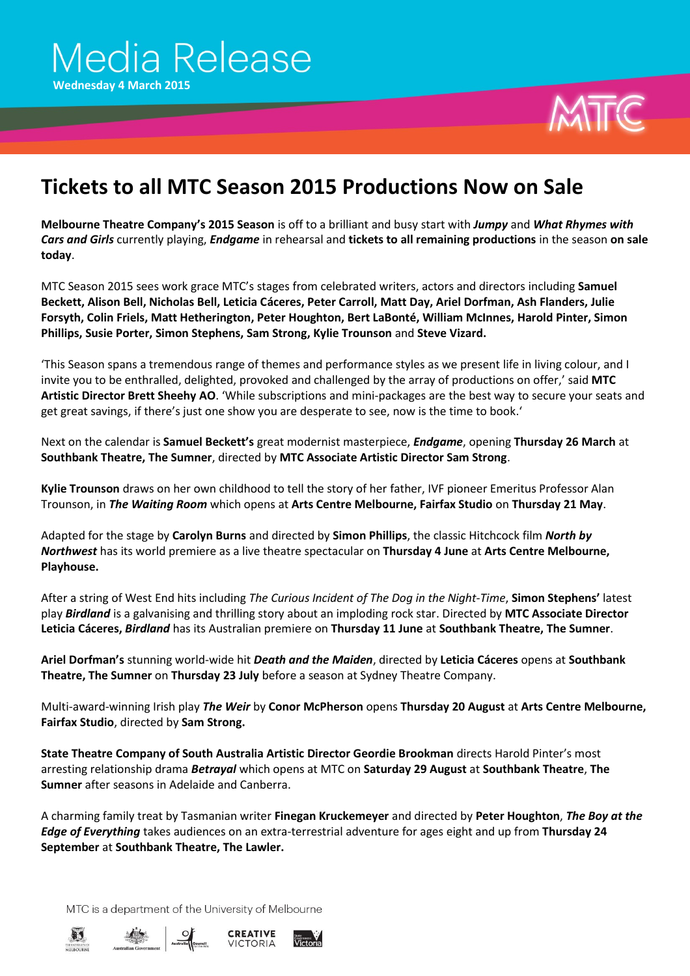

## **Tickets to all MTC Season 2015 Productions Now on Sale**

**Melbourne Theatre Company's 2015 Season** is off to a brilliant and busy start with *Jumpy* and *What Rhymes with Cars and Girls* currently playing, *Endgame* in rehearsal and **tickets to all remaining productions** in the season **on sale today**.

MTC Season 2015 sees work grace MTC's stages from celebrated writers, actors and directors including **Samuel Beckett, Alison Bell, Nicholas Bell, Leticia Cáceres, Peter Carroll, Matt Day, Ariel Dorfman, Ash Flanders, Julie Forsyth, Colin Friels, Matt Hetherington, Peter Houghton, Bert LaBonté, William McInnes, Harold Pinter, Simon Phillips, Susie Porter, Simon Stephens, Sam Strong, Kylie Trounson** and **Steve Vizard.**

'This Season spans a tremendous range of themes and performance styles as we present life in living colour, and I invite you to be enthralled, delighted, provoked and challenged by the array of productions on offer,' said **MTC Artistic Director Brett Sheehy AO**. 'While subscriptions and mini-packages are the best way to secure your seats and get great savings, if there's just one show you are desperate to see, now is the time to book.'

Next on the calendar is **Samuel Beckett's** great modernist masterpiece, *Endgame*, opening **Thursday 26 March** at **Southbank Theatre, The Sumner**, directed by **MTC Associate Artistic Director Sam Strong**.

**Kylie Trounson** draws on her own childhood to tell the story of her father, IVF pioneer Emeritus Professor Alan Trounson, in *The Waiting Room* which opens at **Arts Centre Melbourne, Fairfax Studio** on **Thursday 21 May**.

Adapted for the stage by **Carolyn Burns** and directed by **Simon Phillips**, the classic Hitchcock film *North by Northwest* has its world premiere as a live theatre spectacular on **Thursday 4 June** at **Arts Centre Melbourne, Playhouse.**

After a string of West End hits including *The Curious Incident of The Dog in the Night-Time*, **Simon Stephens'** latest play *Birdland* is a galvanising and thrilling story about an imploding rock star. Directed by **MTC Associate Director Leticia Cáceres,** *Birdland* has its Australian premiere on **Thursday 11 June** at **Southbank Theatre, The Sumner**.

**Ariel Dorfman's** stunning world-wide hit *Death and the Maiden*, directed by **Leticia Cáceres** opens at **Southbank Theatre, The Sumner** on **Thursday 23 July** before a season at Sydney Theatre Company.

Multi-award-winning Irish play *The Weir* by **Conor McPherson** opens **Thursday 20 August** at **Arts Centre Melbourne, Fairfax Studio**, directed by **Sam Strong.**

**State Theatre Company of South Australia Artistic Director Geordie Brookman** directs Harold Pinter's most arresting relationship drama *Betrayal* which opens at MTC on **Saturday 29 August** at **Southbank Theatre**, **The Sumner** after seasons in Adelaide and Canberra.

A charming family treat by Tasmanian writer **Finegan Kruckemeyer** and directed by **Peter Houghton**, *The Boy at the Edge of Everything* takes audiences on an extra-terrestrial adventure for ages eight and up from **Thursday 24 September** at **Southbank Theatre, The Lawler.**

MTC is a department of the University of Melbourne